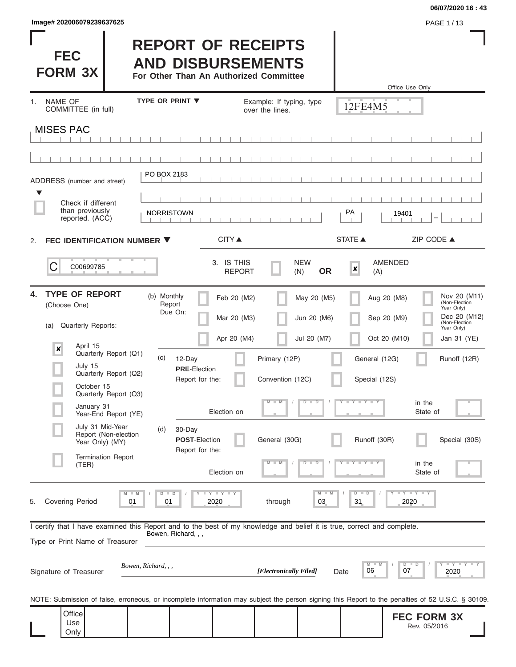| lmage#202006079239637625 |  |  |  |  |  |  |
|--------------------------|--|--|--|--|--|--|
|--------------------------|--|--|--|--|--|--|

#### **06/07/2020 16 : 43**

| Image# 202006079239637625                                                                                                       |                                                                                                                                                   |                                                                                                 |                                                                                |                                                                              | <b>06/07/2020 16 : 43</b><br>PAGE 1/13                                                                                    |
|---------------------------------------------------------------------------------------------------------------------------------|---------------------------------------------------------------------------------------------------------------------------------------------------|-------------------------------------------------------------------------------------------------|--------------------------------------------------------------------------------|------------------------------------------------------------------------------|---------------------------------------------------------------------------------------------------------------------------|
| <b>FEC</b><br><b>FORM 3X</b>                                                                                                    |                                                                                                                                                   | <b>REPORT OF RECEIPTS</b><br><b>AND DISBURSEMENTS</b><br>For Other Than An Authorized Committee |                                                                                | Office Use Only                                                              |                                                                                                                           |
| <b>NAME OF</b><br>1.<br>COMMITTEE (in full)                                                                                     | TYPE OR PRINT ▼                                                                                                                                   | over the lines.                                                                                 | Example: If typing, type                                                       | 12FE4M5                                                                      |                                                                                                                           |
| <b>MISES PAC</b>                                                                                                                |                                                                                                                                                   |                                                                                                 |                                                                                |                                                                              |                                                                                                                           |
| ADDRESS (number and street)<br>▼<br>Check if different                                                                          | PO BOX 2183                                                                                                                                       |                                                                                                 |                                                                                |                                                                              |                                                                                                                           |
| than previously<br>reported. (ACC)                                                                                              | <b>NORRISTOWN</b>                                                                                                                                 |                                                                                                 |                                                                                | PA<br>19401                                                                  |                                                                                                                           |
| 2.<br>C<br>C00699785                                                                                                            | FEC IDENTIFICATION NUMBER ▼                                                                                                                       | <b>CITY</b> ▲<br>3. IS THIS<br><b>REPORT</b>                                                    | <b>NEW</b><br><b>OR</b><br>(N)                                                 | <b>STATE ▲</b><br><b>AMENDED</b><br>$\boldsymbol{x}$<br>(A)                  | ZIP CODE ▲                                                                                                                |
| <b>TYPE OF REPORT</b><br>4.<br>(Choose One)<br>Quarterly Reports:<br>(a)<br>April 15<br>$\pmb{\times}$<br>July 15<br>October 15 | (b) Monthly<br>Report<br>Due On:<br>Quarterly Report (Q1)<br>(c)<br>12-Day<br>Quarterly Report (Q2)                                               | Feb 20 (M2)<br>Mar 20 (M3)<br>Apr 20 (M4)<br><b>PRE-Election</b><br>Report for the:             | May 20 (M5)<br>Jun 20 (M6)<br>Jul 20 (M7)<br>Primary (12P)<br>Convention (12C) | Aug 20 (M8)<br>Sep 20 (M9)<br>Oct 20 (M10)<br>General (12G)<br>Special (12S) | Nov 20 (M11)<br>(Non-Election<br>Year Only)<br>Dec 20 (M12)<br>(Non-Election<br>Year Only)<br>Jan 31 (YE)<br>Runoff (12R) |
| January 31                                                                                                                      | Quarterly Report (Q3)<br>Year-End Report (YE)                                                                                                     | Election on                                                                                     | D                                                                              | Y TYT                                                                        | in the<br>State of                                                                                                        |
| July 31 Mid-Year<br>Year Only) (MY)<br>(TER)                                                                                    | 30-Day<br>(d)<br>Report (Non-election<br><b>Termination Report</b>                                                                                | <b>POST-Election</b><br>Report for the:<br>Election on                                          | General (30G)<br>т                                                             | Runoff (30R)<br>$Y = Y$                                                      | Special (30S)<br>in the<br>State of                                                                                       |
| <b>Covering Period</b><br>5.                                                                                                    | 01<br>01                                                                                                                                          | Y I Y I<br>2020                                                                                 | $M -$<br>through<br>03                                                         | $D$ $D$<br>31<br>2020                                                        | $Y - Y - Y$                                                                                                               |
| Type or Print Name of Treasurer                                                                                                 | I certify that I have examined this Report and to the best of my knowledge and belief it is true, correct and complete.<br>Bowen, Richard, , ,    |                                                                                                 |                                                                                |                                                                              |                                                                                                                           |
| Signature of Treasurer                                                                                                          | Bowen, Richard, , ,                                                                                                                               |                                                                                                 | [Electronically Filed]                                                         | D<br>M<br>07<br>06<br>Date                                                   | $\mathbb{L}$ $\mathsf{Y}$ $\mathbb{L}$ $\mathsf{Y}$ $\mathbb{L}$<br>$\blacksquare$<br>2020                                |
|                                                                                                                                 | NOTE: Submission of false, erroneous, or incomplete information may subject the person signing this Report to the penalties of 52 U.S.C. § 30109. |                                                                                                 |                                                                                |                                                                              |                                                                                                                           |

**FEC FORM 3X** Rev. 05/2016 **Office** Use Only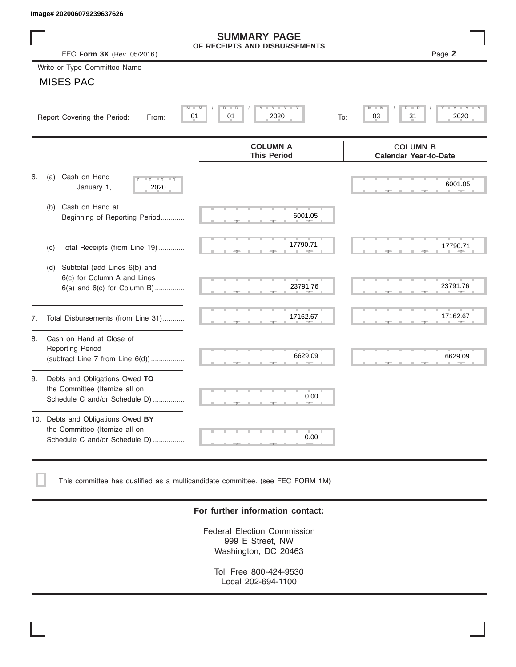|    | Image# 202006079239637626                                                                             |                                                      |                                                 |
|----|-------------------------------------------------------------------------------------------------------|------------------------------------------------------|-------------------------------------------------|
|    | FEC Form 3X (Rev. 05/2016)                                                                            | <b>SUMMARY PAGE</b><br>OF RECEIPTS AND DISBURSEMENTS | Page 2                                          |
|    | Write or Type Committee Name                                                                          |                                                      |                                                 |
|    | <b>MISES PAC</b>                                                                                      |                                                      |                                                 |
|    | M<br>Report Covering the Period:<br>From:                                                             | Y LY L<br>$D$ $D$<br>M<br>01<br>2020<br>01           | D<br>31<br>2020<br>03<br>To:                    |
|    |                                                                                                       | <b>COLUMN A</b><br><b>This Period</b>                | <b>COLUMN B</b><br><b>Calendar Year-to-Date</b> |
| 6. | Cash on Hand<br>(a)<br>$-Y - Y - IY$<br>January 1,<br>2020                                            |                                                      | 6001.05                                         |
|    | Cash on Hand at<br>(b)<br>Beginning of Reporting Period                                               | 6001.05                                              |                                                 |
|    | Total Receipts (from Line 19)<br>(c)                                                                  | 17790.71                                             | 17790.71                                        |
|    | Subtotal (add Lines 6(b) and<br>(d)<br>6(c) for Column A and Lines<br>$6(a)$ and $6(c)$ for Column B) | 23791.76                                             | 23791.76                                        |
| 7. | Total Disbursements (from Line 31)                                                                    | 17162.67                                             | 17162.67                                        |
| 8. | Cash on Hand at Close of<br><b>Reporting Period</b><br>(subtract Line $7$ from Line $6(d)$ )          | 6629.09                                              | 6629.09                                         |
| 9. | Debts and Obligations Owed TO<br>the Committee (Itemize all on<br>Schedule C and/or Schedule D)       | 0.00                                                 |                                                 |
|    | 10. Debts and Obligations Owed BY<br>the Committee (Itemize all on<br>Schedule C and/or Schedule D)   | <b>The Second</b><br>0.00                            |                                                 |

This committee has qualified as a multicandidate committee. (see FEC FORM 1M)

#### **For further information contact:**

Federal Election Commission 999 E Street, NW Washington, DC 20463

Toll Free 800-424-9530 Local 202-694-1100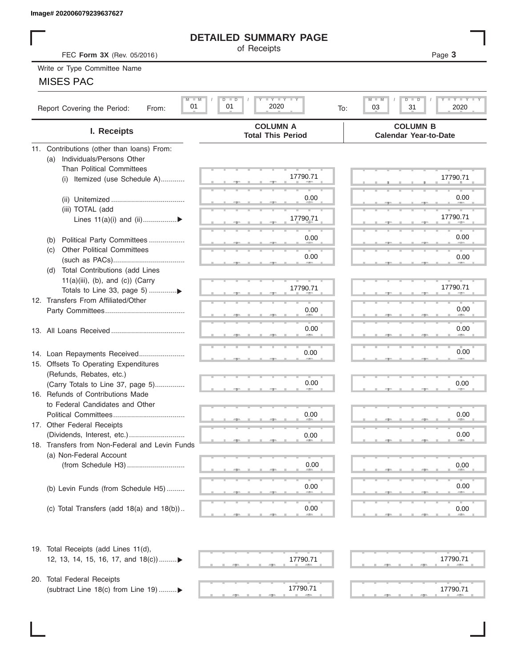## **DETAILED SUMMARY PAGE**

### MISES PAC

| Image# 202006079239637627                          |                                             |                                                  |
|----------------------------------------------------|---------------------------------------------|--------------------------------------------------|
|                                                    | <b>DETAILED SUMMARY PAGE</b>                |                                                  |
| FEC Form 3X (Rev. 05/2016)                         | of Receipts                                 | Page 3                                           |
| Write or Type Committee Name                       |                                             |                                                  |
| <b>MISES PAC</b>                                   |                                             |                                                  |
| $M - M$                                            | $I - Y - I - Y - I - Y$<br>$\Box$<br>D      | $-1$ $-1$ $-1$ $-1$ $-1$<br>M<br>$D$ $\Box$<br>ח |
| 01<br>Report Covering the Period:<br>From:         | 2020<br>01<br>To:                           | 03<br>31<br>2020                                 |
| I. Receipts                                        | <b>COLUMN A</b><br><b>Total This Period</b> | <b>COLUMN B</b><br><b>Calendar Year-to-Date</b>  |
| 11. Contributions (other than loans) From:         |                                             |                                                  |
| Individuals/Persons Other<br>(a)                   |                                             |                                                  |
| <b>Than Political Committees</b>                   | 17790.71                                    | 17790.71                                         |
| Itemized (use Schedule A)<br>(i)                   |                                             |                                                  |
|                                                    | 0.00                                        | 0.00                                             |
| (iii) TOTAL (add                                   |                                             |                                                  |
| Lines $11(a)(i)$ and $(ii)$                        | 17790.71                                    | 17790.71                                         |
|                                                    |                                             |                                                  |
| Political Party Committees<br>(b)                  | 0.00                                        | 0.00                                             |
| <b>Other Political Committees</b><br>(C)           |                                             |                                                  |
|                                                    | 0.00                                        | 0.00                                             |
| Total Contributions (add Lines<br>(d)              |                                             |                                                  |
| $11(a)(iii)$ , (b), and (c)) (Carry                |                                             |                                                  |
|                                                    | 17790.71                                    | 17790.71                                         |
| 12. Transfers From Affiliated/Other                |                                             |                                                  |
|                                                    | 0.00                                        | 0.00                                             |
|                                                    |                                             |                                                  |
|                                                    | 0.00                                        | 0.00                                             |
|                                                    |                                             |                                                  |
| 14. Loan Repayments Received                       | 0.00                                        | 0.00                                             |
| 15. Offsets To Operating Expenditures              |                                             |                                                  |
| (Refunds, Rebates, etc.)                           |                                             |                                                  |
| (Carry Totals to Line 37, page 5)                  | 0.00                                        | 0.00                                             |
| 16. Refunds of Contributions Made                  |                                             |                                                  |
| to Federal Candidates and Other                    |                                             |                                                  |
| Political Committees<br>17. Other Federal Receipts | 0.00                                        | 0.00                                             |
|                                                    |                                             | 0.00                                             |
| 18. Transfers from Non-Federal and Levin Funds     | 0.00                                        |                                                  |
| (a) Non-Federal Account                            |                                             |                                                  |
|                                                    | 0.00                                        | 0.00                                             |
|                                                    |                                             |                                                  |
| (b) Levin Funds (from Schedule H5)                 | 0.00                                        | 0.00                                             |
|                                                    |                                             |                                                  |
| (c) Total Transfers (add $18(a)$ and $18(b)$ )     | 0.00                                        | 0.00                                             |
|                                                    | <b>COLL</b>                                 |                                                  |
| 19. Total Receipts (add Lines 11(d),               |                                             |                                                  |
| 12, 13, 14, 15, 16, 17, and 18(c))▶                | 17790.71                                    | 17790.71                                         |
|                                                    |                                             |                                                  |
| 20. Total Federal Receipts                         |                                             |                                                  |
| (subtract Line 18(c) from Line 19) ▶               | 17790.71                                    | 17790.71                                         |
|                                                    |                                             |                                                  |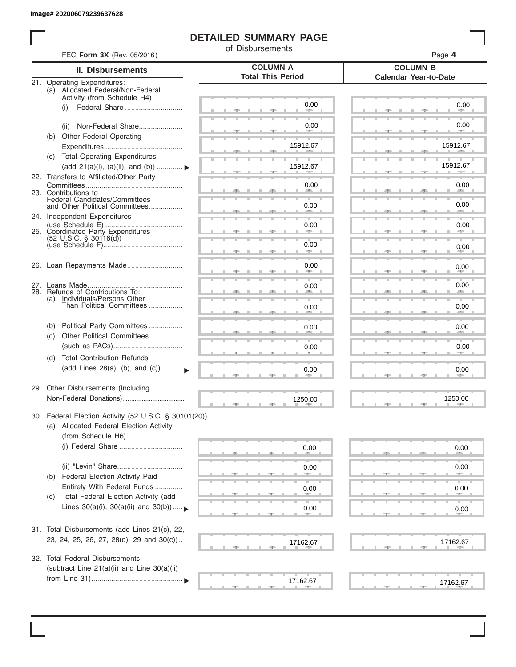I

# **DETAILED SUMMARY PAGE**

of Disbursements

| FEC Form 3X (Rev. 05/2016)                                                                                             |                                             | Page 4                                          |
|------------------------------------------------------------------------------------------------------------------------|---------------------------------------------|-------------------------------------------------|
| II. Disbursements                                                                                                      | <b>COLUMN A</b><br><b>Total This Period</b> | <b>COLUMN B</b><br><b>Calendar Year-to-Date</b> |
| 21. Operating Expenditures:<br>(a) Allocated Federal/Non-Federal<br>Activity (from Schedule H4)                        |                                             |                                                 |
| (i)                                                                                                                    | 0.00                                        | 0.00                                            |
| Non-Federal Share<br>(ii)                                                                                              | 0.00                                        | 0.00                                            |
| (b) Other Federal Operating                                                                                            | 15912.67                                    | 15912.67                                        |
| (c) Total Operating Expenditures<br>(add 21(a)(i), (a)(ii), and (b))                                                   | 15912.67                                    | 15912.67                                        |
| 22. Transfers to Affiliated/Other Party                                                                                | 0.00                                        | 0.00                                            |
| 23. Contributions to<br>Federal Candidates/Committees<br>and Other Political Committees                                |                                             | 49.75                                           |
| 24. Independent Expenditures                                                                                           | 0.00                                        | 0.00                                            |
| 25. Coordinated Party Expenditures                                                                                     | 0.00                                        | 0.00                                            |
| $(52 \text{ U.S.C. }$ § 30116(d))                                                                                      | 0.00<br>an a                                | 0.00                                            |
| 26. Loan Repayments Made                                                                                               | 0.00                                        | 0.00                                            |
| 28. Refunds of Contributions To:                                                                                       | 0.00                                        | 0.00                                            |
| (a) Individuals/Persons Other<br>Than Political Committees                                                             | 0.00                                        | 0.00                                            |
| Political Party Committees<br>(b)                                                                                      | 0.00                                        | 0.00                                            |
| <b>Other Political Committees</b><br>(c)                                                                               | 0.00                                        | 0.00                                            |
| <b>Total Contribution Refunds</b><br>(d)<br>(add Lines 28(a), (b), and (c))                                            | 0.00                                        | 0.00                                            |
| 29. Other Disbursements (Including                                                                                     | 1250.00                                     | 1250.00                                         |
| 30. Federal Election Activity (52 U.S.C. § 30101(20))<br>(a) Allocated Federal Election Activity<br>(from Schedule H6) |                                             |                                                 |
|                                                                                                                        | 0.00                                        | 0.00                                            |
| Federal Election Activity Paid<br>(b)                                                                                  | 0.00                                        | 0.00                                            |
| Entirely With Federal Funds                                                                                            | 0.00                                        | 0.00                                            |
| Total Federal Election Activity (add<br>(C)<br>Lines $30(a)(i)$ , $30(a)(ii)$ and $30(b))$                             | 0.00                                        | 0.00                                            |
| 31. Total Disbursements (add Lines 21(c), 22,                                                                          |                                             |                                                 |
| 23, 24, 25, 26, 27, 28(d), 29 and 30(c))                                                                               | 17162.67                                    | 17162.67                                        |
| 32. Total Federal Disbursements<br>(subtract Line 21(a)(ii) and Line 30(a)(ii)                                         |                                             |                                                 |
|                                                                                                                        | 17162.67                                    | 17162.67                                        |
|                                                                                                                        |                                             |                                                 |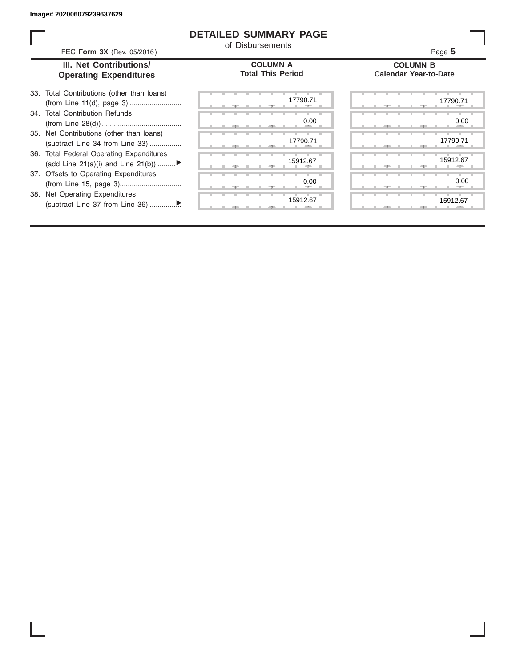ı

### **DETAILED SUMMARY PAGE**

of Disbursements

| FEC Form 3X (Rev. 05/2016)                                                     | u Disputschens                              | Page 5                                          |
|--------------------------------------------------------------------------------|---------------------------------------------|-------------------------------------------------|
| III. Net Contributions/<br><b>Operating Expenditures</b>                       | <b>COLUMN A</b><br><b>Total This Period</b> | <b>COLUMN B</b><br><b>Calendar Year-to-Date</b> |
| 33. Total Contributions (other than loans)<br>(from Line 11(d), page 3)        | 17790.71                                    | 17790.71                                        |
| 34. Total Contribution Refunds                                                 | 0.00                                        | 0.00                                            |
| 35. Net Contributions (other than loans)<br>(subtract Line 34 from Line 33)    | 17790.71                                    | 17790.71                                        |
| 36. Total Federal Operating Expenditures<br>(add Line 21(a)(i) and Line 21(b)) | 15912.67                                    | 15912.67                                        |
| 37. Offsets to Operating Expenditures                                          | 0.00                                        | 0.00                                            |
| 38. Net Operating Expenditures                                                 | 15912.67                                    | 15912.67                                        |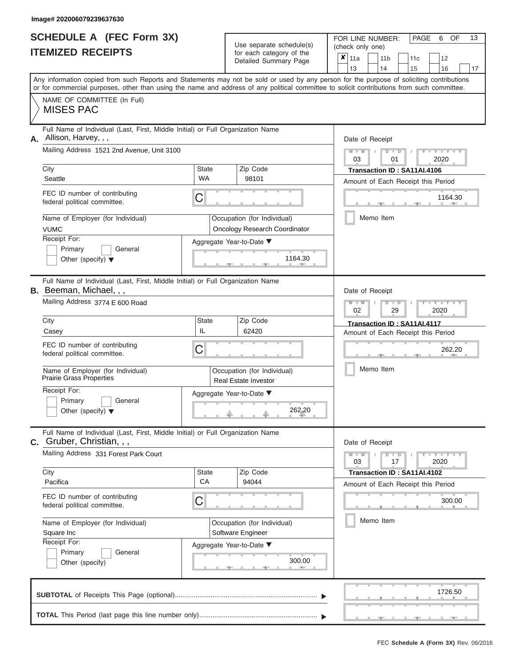# **SCHEDULE A (FEC Form 3X)**

| <b>SCHEDULE A (FEC Form 3X)</b><br><b>ITEMIZED RECEIPTS</b>                                                                                                                                                                                                                                                                                                                         | Use separate schedule(s)<br>for each category of the                                                                                      | 13<br>PAGE<br>OF<br>FOR LINE NUMBER:<br>6<br>(check only one)<br>$x _{11a}$<br>11 <sub>b</sub><br>11c<br>12                                                                       |
|-------------------------------------------------------------------------------------------------------------------------------------------------------------------------------------------------------------------------------------------------------------------------------------------------------------------------------------------------------------------------------------|-------------------------------------------------------------------------------------------------------------------------------------------|-----------------------------------------------------------------------------------------------------------------------------------------------------------------------------------|
|                                                                                                                                                                                                                                                                                                                                                                                     | Detailed Summary Page                                                                                                                     | 13<br>14<br>16<br>15<br>17                                                                                                                                                        |
| Any information copied from such Reports and Statements may not be sold or used by any person for the purpose of soliciting contributions<br>or for commercial purposes, other than using the name and address of any political committee to solicit contributions from such committee.<br>NAME OF COMMITTEE (In Full)                                                              |                                                                                                                                           |                                                                                                                                                                                   |
| <b>MISES PAC</b>                                                                                                                                                                                                                                                                                                                                                                    |                                                                                                                                           |                                                                                                                                                                                   |
| Full Name of Individual (Last, First, Middle Initial) or Full Organization Name<br>Allison, Harvey, , ,<br>А.<br>Mailing Address 1521 2nd Avenue, Unit 3100<br>City<br>Seattle<br>FEC ID number of contributing<br>federal political committee.<br>Name of Employer (for Individual)                                                                                                | Zip Code<br><b>State</b><br>WA<br>98101<br>С<br>Occupation (for Individual)                                                               | Date of Receipt<br>$M - M$<br>$Y = Y = Y$<br>$D$ $D$<br>03<br>01<br>2020<br>Transaction ID: SA11AI.4106<br>Amount of Each Receipt this Period<br>1164.30<br>Memo Item             |
| <b>VUMC</b><br>Receipt For:<br>Primary<br>General<br>Other (specify) $\blacktriangledown$                                                                                                                                                                                                                                                                                           | Oncology Research Coordinator<br>Aggregate Year-to-Date ▼<br>1164.30                                                                      |                                                                                                                                                                                   |
| Full Name of Individual (Last, First, Middle Initial) or Full Organization Name<br><b>B.</b> Beeman, Michael,,,<br>Mailing Address 3774 E 600 Road<br>City<br>Casey<br>FEC ID number of contributing<br>federal political committee.<br>Name of Employer (for Individual)<br>Prairie Grass Properties<br>Receipt For:<br>Primary<br>General<br>Other (specify) $\blacktriangledown$ | Zip Code<br>State<br>IL<br>62420<br>С<br>Occupation (for Individual)<br><b>Real Estate Investor</b><br>Aggregate Year-to-Date ▼<br>262.20 | Date of Receipt<br>$M - M$<br>$D$ $\Box$ $D$<br><b>TELEVISION</b><br>02<br>29<br>2020<br>Transaction ID: SA11AI.4117<br>Amount of Each Receipt this Period<br>262.20<br>Memo Item |
| Full Name of Individual (Last, First, Middle Initial) or Full Organization Name<br><b>C.</b> Gruber, Christian, , ,<br>Mailing Address 331 Forest Park Court<br>City<br>Pacifica<br>FEC ID number of contributing<br>federal political committee.<br>Name of Employer (for Individual)<br>Square Inc<br>Receipt For:<br>Primary<br>General<br>Other (specify)                       | Zip Code<br><b>State</b><br>СA<br>94044<br>С<br>Occupation (for Individual)<br>Software Engineer<br>Aggregate Year-to-Date ▼<br>300.00    | Date of Receipt<br>$M - M$<br>$D$ $D$<br>$T - Y = Y - T Y$<br>03<br>17<br>2020<br>Transaction ID: SA11AI.4102<br>Amount of Each Receipt this Period<br>300.00<br>Memo Item        |
|                                                                                                                                                                                                                                                                                                                                                                                     |                                                                                                                                           | 1726.50                                                                                                                                                                           |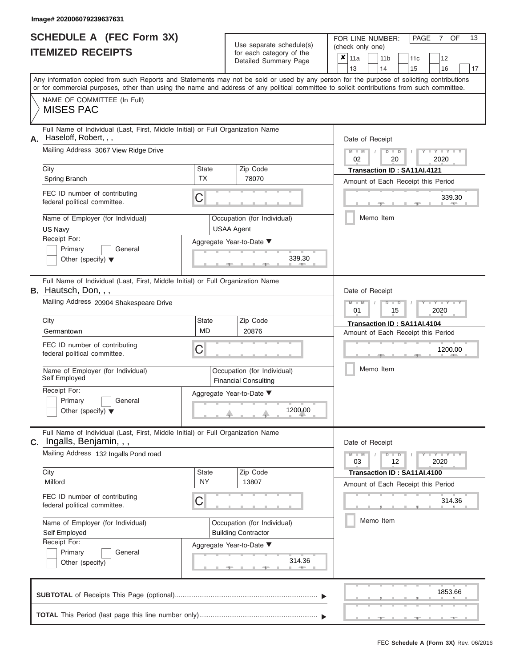| <b>SCHEDULE A (FEC Form 3X)</b> |  |  |
|---------------------------------|--|--|
| <b>ITEMIZED RECEIPTS</b>        |  |  |

| SCHEDULE A (FEC Form 3X)<br><b>ITEMIZED RECEIPTS</b>                                                                                                                                                                                                                                                                                                                            |                                | Use separate schedule(s)<br>for each category of the<br>Detailed Summary Page                                          | 13<br>FOR LINE NUMBER:<br>PAGE<br>OF<br>7<br>(check only one)<br>$\overline{\mathbf{x}}$   11a<br>11 <sub>b</sub><br>12<br>11c<br>13<br>14<br>15<br>16<br>17                                                   |
|---------------------------------------------------------------------------------------------------------------------------------------------------------------------------------------------------------------------------------------------------------------------------------------------------------------------------------------------------------------------------------|--------------------------------|------------------------------------------------------------------------------------------------------------------------|----------------------------------------------------------------------------------------------------------------------------------------------------------------------------------------------------------------|
| Any information copied from such Reports and Statements may not be sold or used by any person for the purpose of soliciting contributions<br>or for commercial purposes, other than using the name and address of any political committee to solicit contributions from such committee.<br>NAME OF COMMITTEE (In Full)<br><b>MISES PAC</b>                                      |                                |                                                                                                                        |                                                                                                                                                                                                                |
| Full Name of Individual (Last, First, Middle Initial) or Full Organization Name<br>Haseloff, Robert, , ,<br>А.<br>Mailing Address 3067 View Ridge Drive<br>City<br>Spring Branch<br>FEC ID number of contributing<br>federal political committee.<br>Name of Employer (for Individual)<br>US Navy<br>Receipt For:<br>Primary<br>General<br>Other (specify) $\blacktriangledown$ | <b>State</b><br><b>TX</b><br>C | Zip Code<br>78070<br>Occupation (for Individual)<br><b>USAA Agent</b><br>Aggregate Year-to-Date ▼<br>339.30            | Date of Receipt<br>$M - M$<br>$D$ $D$<br>$Y - Y - I$<br>$\sqrt{2}$<br>02<br>20<br>2020<br>Transaction ID: SA11AI.4121<br>Amount of Each Receipt this Period<br>339.30<br><b>Contract Contract</b><br>Memo Item |
| Full Name of Individual (Last, First, Middle Initial) or Full Organization Name<br>B. Hautsch, Don, , ,<br>Mailing Address 20904 Shakespeare Drive<br>City<br>Germantown<br>FEC ID number of contributing<br>federal political committee.<br>Name of Employer (for Individual)<br>Self Employed<br>Receipt For:<br>Primary<br>General<br>Other (specify) $\blacktriangledown$   | State<br><b>MD</b><br>С        | Zip Code<br>20876<br>Occupation (for Individual)<br><b>Financial Consulting</b><br>Aggregate Year-to-Date ▼<br>1200.00 | Date of Receipt<br>$M - M$<br>$D$ $\Box$ $D$<br>$Y - Y$<br>01<br>2020<br>15<br>Transaction ID: SA11AI.4104<br>Amount of Each Receipt this Period<br>1200.00<br>Memo Item                                       |
| Full Name of Individual (Last, First, Middle Initial) or Full Organization Name<br>Ingalls, Benjamin, , ,<br>С.<br>Mailing Address 132 Ingalls Pond road<br>City<br>Milford<br>FEC ID number of contributing<br>federal political committee.<br>Name of Employer (for Individual)<br>Self Employed<br>Receipt For:<br>Primary<br>General<br>Other (specify)                     | <b>State</b><br><b>NY</b><br>С | Zip Code<br>13807<br>Occupation (for Individual)<br><b>Building Contractor</b><br>Aggregate Year-to-Date ▼<br>314.36   | Date of Receipt<br>$M - M$<br>$D$ $D$<br>$T - Y = Y - T Y$<br>12<br>2020<br>03<br>Transaction ID: SA11AI.4100<br>Amount of Each Receipt this Period<br>314.36<br>Memo Item                                     |
|                                                                                                                                                                                                                                                                                                                                                                                 |                                |                                                                                                                        | 1853.66                                                                                                                                                                                                        |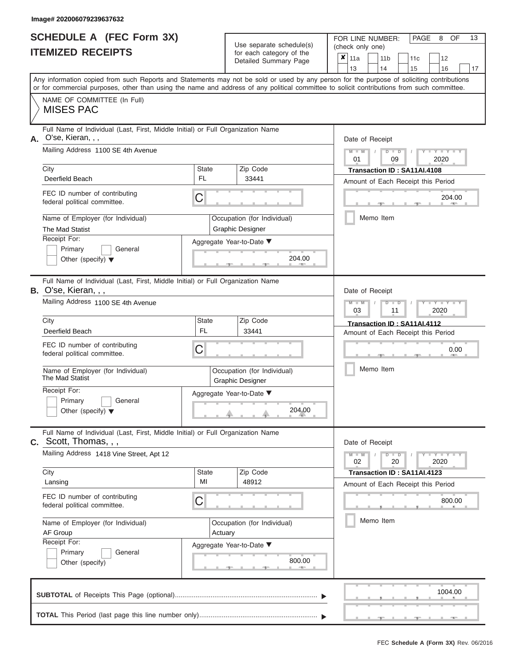|                          | <b>SCHEDULE A (FEC Form 3X)</b> |
|--------------------------|---------------------------------|
| <b>ITEMIZED RECEIPTS</b> |                                 |

| SCHEDULE A (FEC Form 3X)<br><b>ITEMIZED RECEIPTS</b>                                                                                                 | Use separate schedule(s)<br>for each category of the<br>Detailed Summary Page      | 13<br>FOR LINE NUMBER:<br>PAGE<br>8<br>OF<br>(check only one)<br>$\boldsymbol{x}$<br>11a<br>11 <sub>b</sub><br>12<br>11c                                                                                                                                                                                              |
|------------------------------------------------------------------------------------------------------------------------------------------------------|------------------------------------------------------------------------------------|-----------------------------------------------------------------------------------------------------------------------------------------------------------------------------------------------------------------------------------------------------------------------------------------------------------------------|
| NAME OF COMMITTEE (In Full)<br><b>MISES PAC</b>                                                                                                      |                                                                                    | 13<br>14<br>15<br>16<br>17<br>Any information copied from such Reports and Statements may not be sold or used by any person for the purpose of soliciting contributions<br>or for commercial purposes, other than using the name and address of any political committee to solicit contributions from such committee. |
| Full Name of Individual (Last, First, Middle Initial) or Full Organization Name<br>O'se, Kieran, , ,<br>Α.                                           |                                                                                    | Date of Receipt                                                                                                                                                                                                                                                                                                       |
| Mailing Address 1100 SE 4th Avenue<br>City                                                                                                           | <b>State</b><br>Zip Code                                                           | $M - M$ /<br>$D$ $D$<br>$-1 - Y - 1 - Y - 1$<br>01<br>09<br>2020<br>Transaction ID: SA11AI.4108                                                                                                                                                                                                                       |
| Deerfield Beach<br>FEC ID number of contributing<br>federal political committee.                                                                     | <b>FL</b><br>33441<br>C                                                            | Amount of Each Receipt this Period<br>204.00                                                                                                                                                                                                                                                                          |
| Name of Employer (for Individual)<br>The Mad Statist                                                                                                 | Occupation (for Individual)<br><b>Graphic Designer</b>                             | <b>Contract Contract</b><br>Memo Item                                                                                                                                                                                                                                                                                 |
| Receipt For:<br>Primary<br>General<br>Other (specify) $\blacktriangledown$                                                                           | Aggregate Year-to-Date ▼<br>204.00<br><b>Contract Contract</b>                     |                                                                                                                                                                                                                                                                                                                       |
| Full Name of Individual (Last, First, Middle Initial) or Full Organization Name<br>B. O'se, Kieran, , ,<br>Mailing Address 1100 SE 4th Avenue        |                                                                                    | Date of Receipt<br>$M - M$<br>$D$ $\Box$ $D$<br>Y I Y I                                                                                                                                                                                                                                                               |
| City<br>Deerfield Beach                                                                                                                              | <b>State</b><br>Zip Code<br><b>FL</b><br>33441                                     | 03<br>2020<br>11<br>Transaction ID: SA11AI.4112<br>Amount of Each Receipt this Period                                                                                                                                                                                                                                 |
| FEC ID number of contributing<br>federal political committee.                                                                                        | C                                                                                  | 0.00                                                                                                                                                                                                                                                                                                                  |
| Name of Employer (for Individual)<br>The Mad Statist<br>Receipt For:                                                                                 | Occupation (for Individual)<br><b>Graphic Designer</b><br>Aggregate Year-to-Date ▼ | Memo Item                                                                                                                                                                                                                                                                                                             |
| Primary<br>General<br>Other (specify) $\blacktriangledown$                                                                                           | 204.00                                                                             |                                                                                                                                                                                                                                                                                                                       |
| Full Name of Individual (Last, First, Middle Initial) or Full Organization Name<br>C. Scott, Thomas, , ,<br>Mailing Address 1418 Vine Street, Apt 12 |                                                                                    | Date of Receipt                                                                                                                                                                                                                                                                                                       |
| City<br>Lansing                                                                                                                                      | Zip Code<br><b>State</b><br>MI<br>48912                                            | $M - M$<br>$D$ $D$<br>02<br>20<br>2020<br>Transaction ID: SA11AI.4123<br>Amount of Each Receipt this Period                                                                                                                                                                                                           |
| FEC ID number of contributing<br>federal political committee.                                                                                        | C                                                                                  | 800.00                                                                                                                                                                                                                                                                                                                |
| Name of Employer (for Individual)<br>AF Group<br>Receipt For:                                                                                        | Occupation (for Individual)<br>Actuary                                             | Memo Item                                                                                                                                                                                                                                                                                                             |
| Primary<br>General<br>Other (specify)                                                                                                                | Aggregate Year-to-Date ▼<br>800.00                                                 |                                                                                                                                                                                                                                                                                                                       |
|                                                                                                                                                      |                                                                                    | 1004.00                                                                                                                                                                                                                                                                                                               |
|                                                                                                                                                      |                                                                                    |                                                                                                                                                                                                                                                                                                                       |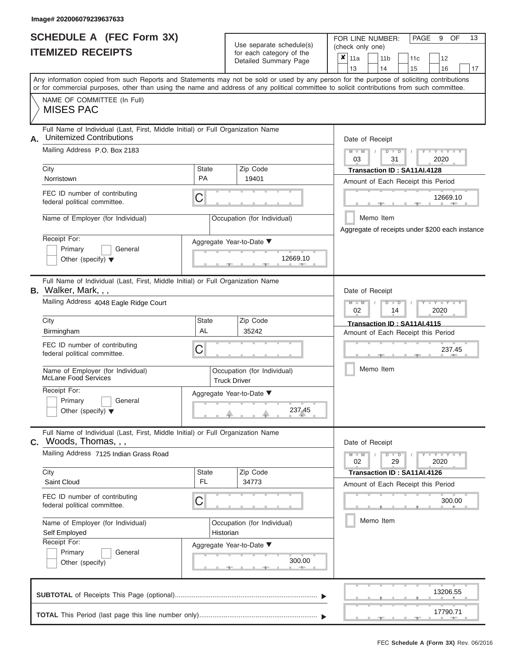#### **Image# 202006079239637633**

ı

|                          | SCHEDULE A (FEC Form 3X) |
|--------------------------|--------------------------|
| <b>ITEMIZED RECEIPTS</b> |                          |

Use separate schedule(s) (check only one) (one)

FOR LINE NUMBER:

PAGE 9 OF 13

|                                                                                                                                            |                                                                                 | babii batogory<br>Detailed Summary Page               | x                           | 11a       |  | 11 <sub>b</sub> |                                                                                   | 11c                                | 12                                              |    |  |
|--------------------------------------------------------------------------------------------------------------------------------------------|---------------------------------------------------------------------------------|-------------------------------------------------------|-----------------------------|-----------|--|-----------------|-----------------------------------------------------------------------------------|------------------------------------|-------------------------------------------------|----|--|
| Any information copied from such Reports and Statements may not be sold or used by any person for the purpose of soliciting contributions  |                                                                                 |                                                       |                             | 13        |  | 14              |                                                                                   | 15                                 | 16                                              | 17 |  |
| or for commercial purposes, other than using the name and address of any political committee to solicit contributions from such committee. |                                                                                 |                                                       |                             |           |  |                 |                                                                                   |                                    |                                                 |    |  |
| NAME OF COMMITTEE (In Full)<br><b>MISES PAC</b>                                                                                            |                                                                                 |                                                       |                             |           |  |                 |                                                                                   |                                    |                                                 |    |  |
| Full Name of Individual (Last, First, Middle Initial) or Full Organization Name<br><b>Unitemized Contributions</b><br>А.                   |                                                                                 |                                                       |                             |           |  |                 | Date of Receipt                                                                   |                                    |                                                 |    |  |
| Mailing Address P.O. Box 2183                                                                                                              |                                                                                 | $M - M$<br>$D$ $D$<br>$Y - Y - I$<br>31<br>2020<br>03 |                             |           |  |                 |                                                                                   |                                    |                                                 |    |  |
| City                                                                                                                                       | <b>State</b>                                                                    |                                                       | Transaction ID: SA11AI.4128 |           |  |                 |                                                                                   |                                    |                                                 |    |  |
| Norristown                                                                                                                                 |                                                                                 | <b>PA</b><br>19401                                    |                             |           |  |                 |                                                                                   |                                    | Amount of Each Receipt this Period              |    |  |
| FEC ID number of contributing<br>federal political committee.                                                                              | С                                                                               |                                                       |                             |           |  |                 |                                                                                   | 12669.10                           |                                                 |    |  |
| Name of Employer (for Individual)                                                                                                          | Occupation (for Individual)                                                     |                                                       |                             |           |  |                 | Memo Item                                                                         |                                    | Aggregate of receipts under \$200 each instance |    |  |
| Receipt For:                                                                                                                               | Aggregate Year-to-Date ▼                                                        |                                                       |                             |           |  |                 |                                                                                   |                                    |                                                 |    |  |
| Primary<br>General<br>Other (specify) $\blacktriangledown$                                                                                 |                                                                                 | 12669.10                                              |                             |           |  |                 |                                                                                   |                                    |                                                 |    |  |
| Full Name of Individual (Last, First, Middle Initial) or Full Organization Name<br>B. Walker, Mark, , ,                                    |                                                                                 | Date of Receipt                                       |                             |           |  |                 |                                                                                   |                                    |                                                 |    |  |
| Mailing Address 4048 Eagle Ridge Court                                                                                                     |                                                                                 |                                                       |                             |           |  |                 | $M - M$<br>Y TYT<br>$\overline{\mathsf{D}}$<br>$\blacksquare$<br>02<br>2020<br>14 |                                    |                                                 |    |  |
| City                                                                                                                                       | State                                                                           |                                                       | Transaction ID: SA11AI.4115 |           |  |                 |                                                                                   |                                    |                                                 |    |  |
| Birmingham                                                                                                                                 | <b>AL</b>                                                                       |                                                       |                             |           |  |                 |                                                                                   | Amount of Each Receipt this Period |                                                 |    |  |
| FEC ID number of contributing<br>federal political committee.                                                                              | С                                                                               |                                                       |                             |           |  |                 |                                                                                   | 237.45                             |                                                 |    |  |
| Name of Employer (for Individual)<br><b>McLane Food Services</b>                                                                           | Occupation (for Individual)<br><b>Truck Driver</b>                              |                                                       |                             | Memo Item |  |                 |                                                                                   |                                    |                                                 |    |  |
| Receipt For:                                                                                                                               | Aggregate Year-to-Date ▼                                                        |                                                       |                             |           |  |                 |                                                                                   |                                    |                                                 |    |  |
| Primary<br>General<br>Other (specify) $\blacktriangledown$                                                                                 |                                                                                 | 237.45                                                |                             |           |  |                 |                                                                                   |                                    |                                                 |    |  |
| C. Woods, Thomas, , ,                                                                                                                      | Full Name of Individual (Last, First, Middle Initial) or Full Organization Name |                                                       |                             |           |  |                 | Date of Receipt                                                                   |                                    |                                                 |    |  |
| Mailing Address 7125 Indian Grass Road                                                                                                     |                                                                                 |                                                       |                             |           |  |                 | $D$ $D$<br>29                                                                     |                                    | $Y - Y - Y - Y$<br>2020                         |    |  |
| City<br>Saint Cloud                                                                                                                        | <b>State</b><br>FL.                                                             | Zip Code<br>34773                                     |                             |           |  |                 |                                                                                   | Transaction ID: SA11AI.4126        |                                                 |    |  |
|                                                                                                                                            |                                                                                 |                                                       |                             |           |  |                 |                                                                                   |                                    | Amount of Each Receipt this Period              |    |  |
| FEC ID number of contributing<br>federal political committee.                                                                              | С                                                                               |                                                       |                             |           |  |                 |                                                                                   | 300.00                             |                                                 |    |  |
| Name of Employer (for Individual)<br>Self Employed                                                                                         | Occupation (for Individual)<br>Historian                                        |                                                       | Memo Item                   |           |  |                 |                                                                                   |                                    |                                                 |    |  |
| Receipt For:                                                                                                                               | Aggregate Year-to-Date ▼                                                        |                                                       |                             |           |  |                 |                                                                                   |                                    |                                                 |    |  |
| Primary<br>General<br>Other (specify)                                                                                                      |                                                                                 | 300.00                                                |                             |           |  |                 |                                                                                   |                                    |                                                 |    |  |
|                                                                                                                                            |                                                                                 |                                                       |                             |           |  |                 |                                                                                   |                                    | 13206.55                                        |    |  |
|                                                                                                                                            |                                                                                 |                                                       |                             |           |  |                 |                                                                                   |                                    | 17790.71                                        |    |  |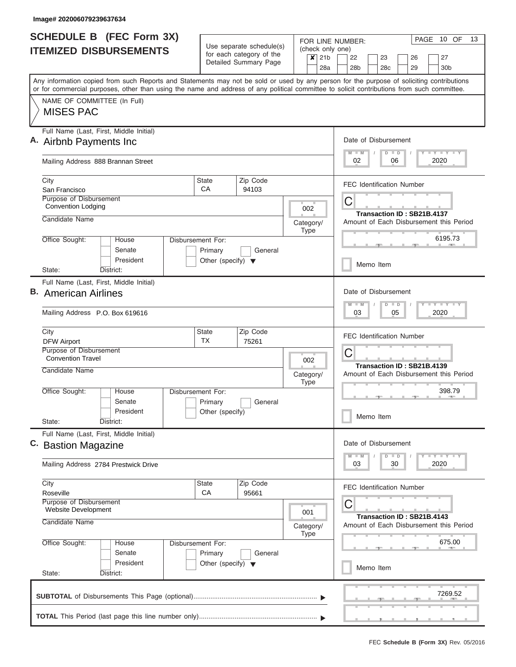|                               | <b>SCHEDULE B</b> (FEC Form 3X)                                                                                                                                                                                                                                                         |                                                                                                     |                                                      |                   |         |          | PAGE 10 OF<br>13<br>FOR LINE NUMBER:                                  |  |  |  |  |  |  |
|-------------------------------|-----------------------------------------------------------------------------------------------------------------------------------------------------------------------------------------------------------------------------------------------------------------------------------------|-----------------------------------------------------------------------------------------------------|------------------------------------------------------|-------------------|---------|----------|-----------------------------------------------------------------------|--|--|--|--|--|--|
| <b>ITEMIZED DISBURSEMENTS</b> |                                                                                                                                                                                                                                                                                         |                                                                                                     | Use separate schedule(s)<br>for each category of the |                   | $x$ 21b |          | (check only one)<br>22<br>27<br>23<br>26                              |  |  |  |  |  |  |
|                               |                                                                                                                                                                                                                                                                                         |                                                                                                     | Detailed Summary Page                                |                   |         | 28a      | 28b<br>28c<br>29<br>30 <sub>b</sub>                                   |  |  |  |  |  |  |
|                               | Any information copied from such Reports and Statements may not be sold or used by any person for the purpose of soliciting contributions<br>or for commercial purposes, other than using the name and address of any political committee to solicit contributions from such committee. |                                                                                                     |                                                      |                   |         |          |                                                                       |  |  |  |  |  |  |
|                               | NAME OF COMMITTEE (In Full)                                                                                                                                                                                                                                                             |                                                                                                     |                                                      |                   |         |          |                                                                       |  |  |  |  |  |  |
|                               | <b>MISES PAC</b>                                                                                                                                                                                                                                                                        |                                                                                                     |                                                      |                   |         |          |                                                                       |  |  |  |  |  |  |
|                               | Full Name (Last, First, Middle Initial)                                                                                                                                                                                                                                                 |                                                                                                     |                                                      |                   |         |          |                                                                       |  |  |  |  |  |  |
|                               | A. Airbnb Payments Inc.                                                                                                                                                                                                                                                                 | Date of Disbursement<br>Y LY LY LY<br>$M - M$<br>$D$ $D$                                            |                                                      |                   |         |          |                                                                       |  |  |  |  |  |  |
|                               | Mailing Address 888 Brannan Street                                                                                                                                                                                                                                                      |                                                                                                     | 2020<br>02<br>06                                     |                   |         |          |                                                                       |  |  |  |  |  |  |
| City                          |                                                                                                                                                                                                                                                                                         | State<br>CA                                                                                         | Zip Code                                             |                   |         |          | <b>FEC Identification Number</b>                                      |  |  |  |  |  |  |
|                               | San Francisco<br>Purpose of Disbursement                                                                                                                                                                                                                                                |                                                                                                     | 94103                                                |                   |         |          |                                                                       |  |  |  |  |  |  |
|                               | <b>Convention Lodging</b>                                                                                                                                                                                                                                                               |                                                                                                     |                                                      |                   | 002     |          | C                                                                     |  |  |  |  |  |  |
|                               | Candidate Name                                                                                                                                                                                                                                                                          |                                                                                                     |                                                      | Category/<br>Type |         |          | Transaction ID: SB21B.4137<br>Amount of Each Disbursement this Period |  |  |  |  |  |  |
|                               | Office Sought:<br>House                                                                                                                                                                                                                                                                 | Disbursement For:                                                                                   |                                                      |                   |         |          | 6195.73                                                               |  |  |  |  |  |  |
|                               | Senate<br>President                                                                                                                                                                                                                                                                     | Primary<br>Other (specify) $\blacktriangledown$                                                     | General                                              |                   |         |          |                                                                       |  |  |  |  |  |  |
|                               | State:<br>District:                                                                                                                                                                                                                                                                     |                                                                                                     |                                                      |                   |         |          | Memo Item                                                             |  |  |  |  |  |  |
|                               | Full Name (Last, First, Middle Initial)                                                                                                                                                                                                                                                 |                                                                                                     |                                                      |                   |         |          |                                                                       |  |  |  |  |  |  |
|                               | <b>B.</b> American Airlines                                                                                                                                                                                                                                                             |                                                                                                     |                                                      |                   |         |          | Date of Disbursement                                                  |  |  |  |  |  |  |
|                               | Mailing Address P.O. Box 619616                                                                                                                                                                                                                                                         |                                                                                                     |                                                      |                   |         |          | $T = Y - T - Y - T - Y$<br>$M - M$<br>$D$ $D$<br>05<br>2020<br>03     |  |  |  |  |  |  |
| City                          |                                                                                                                                                                                                                                                                                         | State                                                                                               | Zip Code                                             |                   |         |          |                                                                       |  |  |  |  |  |  |
|                               | <b>DFW Airport</b>                                                                                                                                                                                                                                                                      | <b>TX</b>                                                                                           | 75261                                                |                   |         |          | <b>FEC Identification Number</b>                                      |  |  |  |  |  |  |
|                               | Purpose of Disbursement<br><b>Convention Travel</b>                                                                                                                                                                                                                                     |                                                                                                     |                                                      |                   | 002     |          | C                                                                     |  |  |  |  |  |  |
|                               | Candidate Name<br>Category/<br><b>Type</b>                                                                                                                                                                                                                                              |                                                                                                     |                                                      |                   |         |          | Transaction ID: SB21B.4139<br>Amount of Each Disbursement this Period |  |  |  |  |  |  |
|                               |                                                                                                                                                                                                                                                                                         |                                                                                                     |                                                      |                   |         |          |                                                                       |  |  |  |  |  |  |
|                               | Office Sought:<br>Disbursement For:<br>House                                                                                                                                                                                                                                            |                                                                                                     |                                                      |                   |         |          | 398.79                                                                |  |  |  |  |  |  |
|                               | Senate<br>President                                                                                                                                                                                                                                                                     | Primary<br>Other (specify)                                                                          | General                                              |                   |         |          |                                                                       |  |  |  |  |  |  |
|                               | State:<br>District:                                                                                                                                                                                                                                                                     |                                                                                                     |                                                      |                   |         |          | Memo Item                                                             |  |  |  |  |  |  |
|                               | Full Name (Last, First, Middle Initial)<br>C. Bastion Magazine                                                                                                                                                                                                                          |                                                                                                     |                                                      |                   |         |          | Date of Disbursement                                                  |  |  |  |  |  |  |
|                               |                                                                                                                                                                                                                                                                                         | $\mathbf{I}$ $\mathbf{Y}$ $\mathbf{I}$ $\mathbf{Y}$ $\mathbf{I}$ $\mathbf{Y}$<br>$D$ $D$<br>$M$ $M$ |                                                      |                   |         |          |                                                                       |  |  |  |  |  |  |
|                               | Mailing Address 2784 Prestwick Drive                                                                                                                                                                                                                                                    | 03<br>30<br>2020                                                                                    |                                                      |                   |         |          |                                                                       |  |  |  |  |  |  |
| City                          |                                                                                                                                                                                                                                                                                         | <b>State</b>                                                                                        | Zip Code                                             |                   |         |          | <b>FEC Identification Number</b>                                      |  |  |  |  |  |  |
|                               | CA<br>95661<br>Roseville<br>Purpose of Disbursement<br>Website Development                                                                                                                                                                                                              |                                                                                                     |                                                      |                   |         | C<br>001 |                                                                       |  |  |  |  |  |  |
|                               | Candidate Name                                                                                                                                                                                                                                                                          |                                                                                                     |                                                      |                   |         |          | Transaction ID: SB21B.4143<br>Amount of Each Disbursement this Period |  |  |  |  |  |  |
|                               | Office Sought:<br>Disbursement For:<br>House                                                                                                                                                                                                                                            |                                                                                                     | <b>Type</b>                                          |                   | 675.00  |          |                                                                       |  |  |  |  |  |  |
|                               | Senate                                                                                                                                                                                                                                                                                  | Primary                                                                                             | General                                              |                   |         |          |                                                                       |  |  |  |  |  |  |
|                               | President<br>State:<br>District:                                                                                                                                                                                                                                                        | Other (specify) $\blacktriangledown$                                                                |                                                      |                   |         |          | Memo Item                                                             |  |  |  |  |  |  |
|                               |                                                                                                                                                                                                                                                                                         |                                                                                                     |                                                      |                   |         |          | 7269.52                                                               |  |  |  |  |  |  |
|                               |                                                                                                                                                                                                                                                                                         |                                                                                                     |                                                      |                   |         |          |                                                                       |  |  |  |  |  |  |
|                               |                                                                                                                                                                                                                                                                                         |                                                                                                     |                                                      |                   |         |          |                                                                       |  |  |  |  |  |  |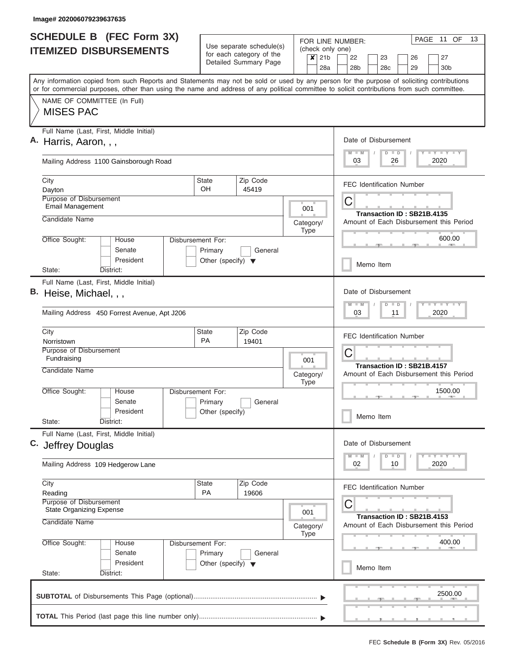| <b>SCHEDULE B (FEC Form 3X)</b><br><b>ITEMIZED DISBURSEMENTS</b> |                                                                                                                                                                                                                                                                                         |                                                                                 | Use separate schedule(s)                                                     |                                                                         | PAGE<br>11 OF<br>13<br>FOR LINE NUMBER:                                             |  |  |  |
|------------------------------------------------------------------|-----------------------------------------------------------------------------------------------------------------------------------------------------------------------------------------------------------------------------------------------------------------------------------------|---------------------------------------------------------------------------------|------------------------------------------------------------------------------|-------------------------------------------------------------------------|-------------------------------------------------------------------------------------|--|--|--|
|                                                                  |                                                                                                                                                                                                                                                                                         |                                                                                 | for each category of the<br>Detailed Summary Page                            | (check only one)<br>21 <sub>b</sub><br>$\boldsymbol{\mathsf{x}}$<br>28a | 22<br>23<br>26<br>27<br>29<br>28 <sub>b</sub><br>28 <sub>c</sub><br>30 <sub>b</sub> |  |  |  |
|                                                                  | Any information copied from such Reports and Statements may not be sold or used by any person for the purpose of soliciting contributions<br>or for commercial purposes, other than using the name and address of any political committee to solicit contributions from such committee. |                                                                                 |                                                                              |                                                                         |                                                                                     |  |  |  |
|                                                                  | NAME OF COMMITTEE (In Full)<br><b>MISES PAC</b>                                                                                                                                                                                                                                         |                                                                                 |                                                                              |                                                                         |                                                                                     |  |  |  |
|                                                                  | Full Name (Last, First, Middle Initial)<br>A. Harris, Aaron, , ,                                                                                                                                                                                                                        | Date of Disbursement<br>Y L Y L Y L Y<br>$M$ $M$<br>$D$ $D$<br>2020<br>03<br>26 |                                                                              |                                                                         |                                                                                     |  |  |  |
|                                                                  | Mailing Address 1100 Gainsborough Road                                                                                                                                                                                                                                                  |                                                                                 |                                                                              |                                                                         |                                                                                     |  |  |  |
|                                                                  | City<br>Dayton                                                                                                                                                                                                                                                                          | <b>State</b><br><b>OH</b>                                                       | Zip Code<br>45419                                                            |                                                                         | <b>FEC Identification Number</b>                                                    |  |  |  |
|                                                                  | Purpose of Disbursement<br><b>Email Management</b><br>Candidate Name                                                                                                                                                                                                                    | 001                                                                             | C<br>Transaction ID: SB21B.4135<br>Amount of Each Disbursement this Period   |                                                                         |                                                                                     |  |  |  |
|                                                                  | Office Sought:<br>House<br>Senate                                                                                                                                                                                                                                                       | Disbursement For:<br>Primary                                                    | General                                                                      | Category/<br><b>Type</b>                                                | 600.00                                                                              |  |  |  |
|                                                                  | President<br>State:<br>District:                                                                                                                                                                                                                                                        | Other (specify) $\blacktriangledown$                                            |                                                                              |                                                                         | Memo Item                                                                           |  |  |  |
|                                                                  | Full Name (Last, First, Middle Initial)<br>B. Heise, Michael, , ,<br>Mailing Address 450 Forrest Avenue, Apt J206                                                                                                                                                                       |                                                                                 | Date of Disbursement<br>Y FY FY FY<br>$M - M$<br>$D$ $D$<br>11<br>2020<br>03 |                                                                         |                                                                                     |  |  |  |
|                                                                  | City<br>Norristown                                                                                                                                                                                                                                                                      | <b>State</b><br><b>PA</b>                                                       | Zip Code<br>19401                                                            |                                                                         | <b>FEC Identification Number</b>                                                    |  |  |  |
|                                                                  | Purpose of Disbursement<br>Fundraising<br>Candidate Name                                                                                                                                                                                                                                |                                                                                 |                                                                              | 001<br>Category/<br><b>Type</b>                                         | C<br>Transaction ID: SB21B.4157<br>Amount of Each Disbursement this Period          |  |  |  |
|                                                                  | Office Sought:<br>House<br>Senate<br>President<br>State:<br>District:                                                                                                                                                                                                                   | Disbursement For:<br>Primary<br>Other (specify)                                 | General                                                                      |                                                                         | 1500.00<br>Memo Item                                                                |  |  |  |
|                                                                  | Full Name (Last, First, Middle Initial)<br>C. Jeffrey Douglas                                                                                                                                                                                                                           |                                                                                 |                                                                              | Date of Disbursement<br>$Y$ $Y$ $Y$ $Y$ $Y$<br>$M$ $M$<br>$D$ $D$       |                                                                                     |  |  |  |
|                                                                  | Mailing Address 109 Hedgerow Lane                                                                                                                                                                                                                                                       |                                                                                 | 2020<br>02<br>10                                                             |                                                                         |                                                                                     |  |  |  |
|                                                                  | City<br>Reading<br>Purpose of Disbursement<br><b>State Organizing Expense</b>                                                                                                                                                                                                           | State<br><b>PA</b>                                                              | Zip Code<br>19606                                                            |                                                                         | <b>FEC Identification Number</b><br>С                                               |  |  |  |
|                                                                  | Candidate Name                                                                                                                                                                                                                                                                          |                                                                                 | 001<br>Category/<br><b>Type</b>                                              | Transaction ID: SB21B.4153<br>Amount of Each Disbursement this Period   |                                                                                     |  |  |  |
|                                                                  | Office Sought:<br>House<br>Senate<br>President                                                                                                                                                                                                                                          | Disbursement For:<br>Primary<br>Other (specify) $\blacktriangledown$            | General                                                                      |                                                                         | 400.00<br>Memo Item                                                                 |  |  |  |
|                                                                  | State:<br>District:                                                                                                                                                                                                                                                                     |                                                                                 |                                                                              |                                                                         | 2500.00                                                                             |  |  |  |
|                                                                  |                                                                                                                                                                                                                                                                                         |                                                                                 |                                                                              |                                                                         |                                                                                     |  |  |  |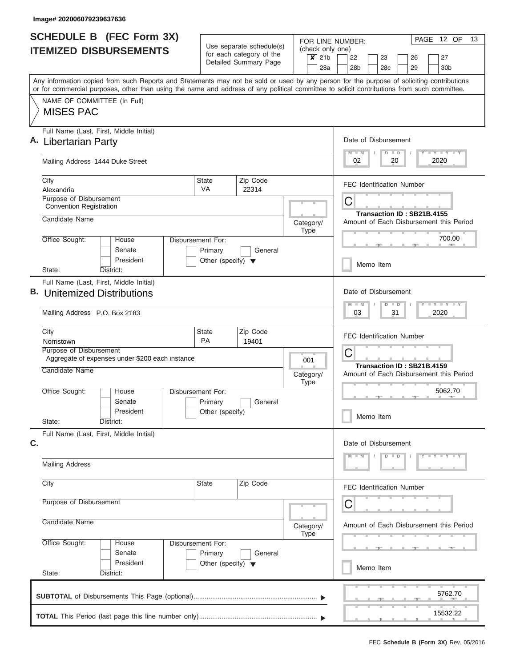| <b>SCHEDULE B (FEC Form 3X)</b><br><b>ITEMIZED DISBURSEMENTS</b> |                                                                                                                                                                                                                                                                                         |                                                                                                                                             | Use separate schedule(s)                             | (check only one)                                  | 12 OF<br>13<br>PAGE<br>FOR LINE NUMBER:                                 |  |  |  |  |  |
|------------------------------------------------------------------|-----------------------------------------------------------------------------------------------------------------------------------------------------------------------------------------------------------------------------------------------------------------------------------------|---------------------------------------------------------------------------------------------------------------------------------------------|------------------------------------------------------|---------------------------------------------------|-------------------------------------------------------------------------|--|--|--|--|--|
|                                                                  |                                                                                                                                                                                                                                                                                         |                                                                                                                                             | for each category of the<br>Detailed Summary Page    | $\overline{\mathbf{x}}$<br>21 <sub>b</sub><br>28a | 22<br>23<br>27<br>26<br>28 <sub>b</sub><br>29<br>28c<br>30 <sub>b</sub> |  |  |  |  |  |
|                                                                  | Any information copied from such Reports and Statements may not be sold or used by any person for the purpose of soliciting contributions<br>or for commercial purposes, other than using the name and address of any political committee to solicit contributions from such committee. |                                                                                                                                             |                                                      |                                                   |                                                                         |  |  |  |  |  |
|                                                                  | NAME OF COMMITTEE (In Full)<br><b>MISES PAC</b>                                                                                                                                                                                                                                         |                                                                                                                                             |                                                      |                                                   |                                                                         |  |  |  |  |  |
|                                                                  | Full Name (Last, First, Middle Initial)<br>Libertarian Party                                                                                                                                                                                                                            |                                                                                                                                             |                                                      |                                                   | Date of Disbursement<br>Y LY LY LY<br>$M$ $M$<br>$D$ $D$                |  |  |  |  |  |
|                                                                  | Mailing Address 1444 Duke Street                                                                                                                                                                                                                                                        | 02<br>2020<br>20                                                                                                                            |                                                      |                                                   |                                                                         |  |  |  |  |  |
|                                                                  | City<br>Alexandria                                                                                                                                                                                                                                                                      | <b>State</b><br>VA                                                                                                                          | Zip Code<br>22314                                    |                                                   | <b>FEC Identification Number</b>                                        |  |  |  |  |  |
|                                                                  | Purpose of Disbursement<br><b>Convention Registration</b><br>Candidate Name                                                                                                                                                                                                             | Category/<br><b>Type</b><br>House<br>Disbursement For:<br>Senate<br>General<br>Primary<br>President<br>Other (specify) $\blacktriangledown$ |                                                      |                                                   | C<br>Transaction ID: SB21B.4155                                         |  |  |  |  |  |
|                                                                  | Office Sought:                                                                                                                                                                                                                                                                          |                                                                                                                                             |                                                      |                                                   | Amount of Each Disbursement this Period<br>700.00                       |  |  |  |  |  |
|                                                                  | District:<br>State:                                                                                                                                                                                                                                                                     |                                                                                                                                             |                                                      |                                                   | Memo Item                                                               |  |  |  |  |  |
|                                                                  | Full Name (Last, First, Middle Initial)<br><b>B.</b> Unitemized Distributions                                                                                                                                                                                                           |                                                                                                                                             | Date of Disbursement                                 |                                                   |                                                                         |  |  |  |  |  |
|                                                                  | Mailing Address P.O. Box 2183                                                                                                                                                                                                                                                           |                                                                                                                                             | Y FY FY FY<br>$M - M$<br>$D$ $D$<br>03<br>31<br>2020 |                                                   |                                                                         |  |  |  |  |  |
|                                                                  | City<br>Norristown<br>Purpose of Disbursement<br>Aggregate of expenses under \$200 each instance                                                                                                                                                                                        | <b>State</b><br><b>PA</b>                                                                                                                   | Zip Code<br>19401                                    |                                                   | <b>FEC Identification Number</b><br>C                                   |  |  |  |  |  |
|                                                                  | Candidate Name                                                                                                                                                                                                                                                                          |                                                                                                                                             |                                                      | 001<br>Category/<br><b>Type</b>                   | Transaction ID: SB21B.4159<br>Amount of Each Disbursement this Period   |  |  |  |  |  |
|                                                                  | Office Sought:<br>House<br>Senate<br>President<br>State:<br>District:                                                                                                                                                                                                                   | Disbursement For:<br>Primary<br>General<br>Other (specify)                                                                                  |                                                      |                                                   | 5062.70<br>Memo Item                                                    |  |  |  |  |  |
| C.                                                               | Full Name (Last, First, Middle Initial)                                                                                                                                                                                                                                                 |                                                                                                                                             |                                                      |                                                   | Date of Disbursement                                                    |  |  |  |  |  |
|                                                                  | <b>Mailing Address</b>                                                                                                                                                                                                                                                                  |                                                                                                                                             |                                                      |                                                   | $Y = Y = Y = Y = I - Y$<br>$D$ $D$                                      |  |  |  |  |  |
|                                                                  | City                                                                                                                                                                                                                                                                                    | <b>State</b>                                                                                                                                | Zip Code                                             |                                                   | <b>FEC Identification Number</b>                                        |  |  |  |  |  |
|                                                                  | Purpose of Disbursement                                                                                                                                                                                                                                                                 |                                                                                                                                             |                                                      |                                                   | С                                                                       |  |  |  |  |  |
|                                                                  | Candidate Name                                                                                                                                                                                                                                                                          |                                                                                                                                             |                                                      | Category/<br><b>Type</b>                          | Amount of Each Disbursement this Period                                 |  |  |  |  |  |
|                                                                  | Office Sought:<br>House<br>Senate<br>President<br>State:<br>District:                                                                                                                                                                                                                   | Disbursement For:<br>Primary<br>Other (specify) $\blacktriangledown$                                                                        |                                                      | Memo Item                                         |                                                                         |  |  |  |  |  |
|                                                                  |                                                                                                                                                                                                                                                                                         |                                                                                                                                             |                                                      |                                                   | 5762.70                                                                 |  |  |  |  |  |
|                                                                  |                                                                                                                                                                                                                                                                                         |                                                                                                                                             |                                                      |                                                   | 15532.22                                                                |  |  |  |  |  |